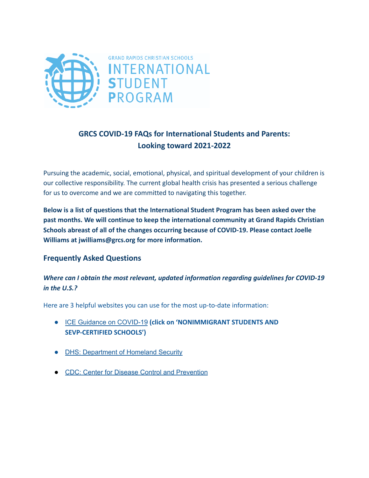

# **GRCS COVID-19 FAQs for International Students and Parents: Looking toward 2021-2022**

Pursuing the academic, social, emotional, physical, and spiritual development of your children is our collective responsibility. The current global health crisis has presented a serious challenge for us to overcome and we are committed to navigating this together.

**Below is a list of questions that the International Student Program has been asked over the past months. We will continue to keep the international community at Grand Rapids Christian Schools abreast of all of the changes occurring because of COVID-19. Please contact Joelle Williams at jwilliams@grcs.org for more information.**

## **Frequently Asked Questions**

## *Where can I obtain the most relevant, updated information regarding guidelines for COVID-19 in the U.S.?*

Here are 3 helpful websites you can use for the most up-to-date information:

- ICE Guidance on [COVID-19](https://www.ice.gov/coronavirus) **(click on 'NONIMMIGRANT STUDENTS AND SEVP-CERTIFIED SCHOOLS')**
- **DHS: [Department](https://www.dhs.gov/) of Homeland Security**
- CDC: Center for Disease Control and [Prevention](https://www.cdc.gov/)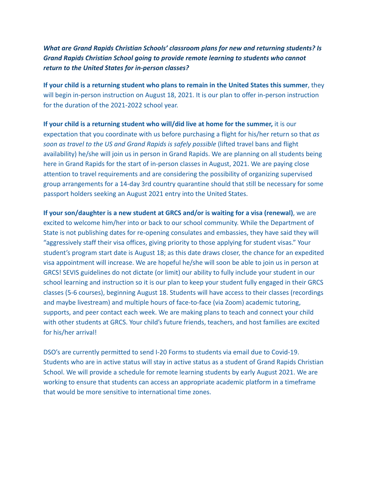# *What are Grand Rapids Christian Schools' classroom plans for new and returning students? Is Grand Rapids Christian School going to provide remote learning to students who cannot return to the United States for in-person classes?*

**If your child is a returning student who plans to remain in the United States this summer**, they will begin in-person instruction on August 18, 2021. It is our plan to offer in-person instruction for the duration of the 2021-2022 school year.

**If your child is a returning student who will/did live at home for the summer,** it is our expectation that you coordinate with us before purchasing a flight for his/her return so that *as soon as travel to the US and Grand Rapids is safely possible* (lifted travel bans and flight availability) he/she will join us in person in Grand Rapids. We are planning on all students being here in Grand Rapids for the start of in-person classes in August, 2021. We are paying close attention to travel requirements and are considering the possibility of organizing supervised group arrangements for a 14-day 3rd country quarantine should that still be necessary for some passport holders seeking an August 2021 entry into the United States.

**If your son/daughter is a new student at GRCS and/or is waiting for a visa (renewal)**, we are excited to welcome him/her into or back to our school community. While the Department of State is not publishing dates for re-opening consulates and embassies, they have said they will "aggressively staff their visa offices, giving priority to those applying for student visas." Your student's program start date is August 18; as this date draws closer, the chance for an expedited visa appointment will increase. We are hopeful he/she will soon be able to join us in person at GRCS! SEVIS guidelines do not dictate (or limit) our ability to fully include your student in our school learning and instruction so it is our plan to keep your student fully engaged in their GRCS classes (5-6 courses), beginning August 18. Students will have access to their classes (recordings and maybe livestream) and multiple hours of face-to-face (via Zoom) academic tutoring, supports, and peer contact each week. We are making plans to teach and connect your child with other students at GRCS. Your child's future friends, teachers, and host families are excited for his/her arrival!

DSO's are currently permitted to send I-20 Forms to students via email due to Covid-19. Students who are in active status will stay in active status as a student of Grand Rapids Christian School. We will provide a schedule for remote learning students by early August 2021. We are working to ensure that students can access an appropriate academic platform in a timeframe that would be more sensitive to international time zones.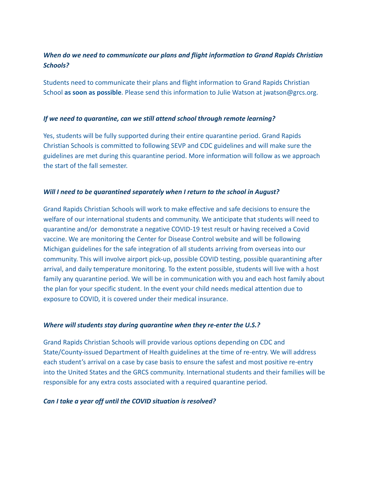# *When do we need to communicate our plans and flight information to Grand Rapids Christian Schools?*

Students need to communicate their plans and flight information to Grand Rapids Christian School **as soon as possible**. Please send this information to Julie Watson at jwatson@grcs.org.

### *If we need to quarantine, can we still attend school through remote learning?*

Yes, students will be fully supported during their entire quarantine period. Grand Rapids Christian Schools is committed to following SEVP and CDC guidelines and will make sure the guidelines are met during this quarantine period. More information will follow as we approach the start of the fall semester.

## *Will I need to be quarantined separately when I return to the school in August?*

Grand Rapids Christian Schools will work to make effective and safe decisions to ensure the welfare of our international students and community. We anticipate that students will need to quarantine and/or demonstrate a negative COVID-19 test result or having received a Covid vaccine. We are monitoring the Center for Disease Control website and will be following Michigan guidelines for the safe integration of all students arriving from overseas into our community. This will involve airport pick-up, possible COVID testing, possible quarantining after arrival, and daily temperature monitoring. To the extent possible, students will live with a host family any quarantine period. We will be in communication with you and each host family about the plan for your specific student. In the event your child needs medical attention due to exposure to COVID, it is covered under their medical insurance.

#### *Where will students stay during quarantine when they re-enter the U.S.?*

Grand Rapids Christian Schools will provide various options depending on CDC and State/County-issued Department of Health guidelines at the time of re-entry. We will address each student's arrival on a case by case basis to ensure the safest and most positive re-entry into the United States and the GRCS community. International students and their families will be responsible for any extra costs associated with a required quarantine period.

#### *Can I take a year off until the COVID situation is resolved?*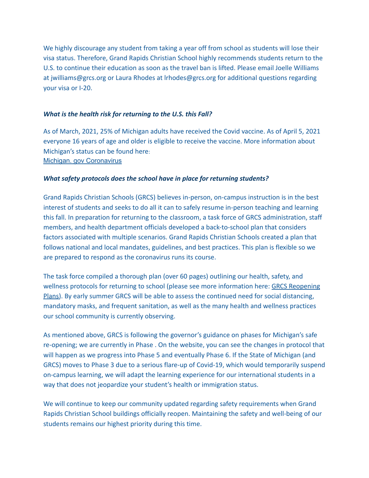We highly discourage any student from taking a year off from school as students will lose their visa status. Therefore, Grand Rapids Christian School highly recommends students return to the U.S. to continue their education as soon as the travel ban is lifted. Please email Joelle Williams at jwilliams@grcs.org or Laura Rhodes at lrhodes@grcs.org for additional questions regarding your visa or I-20.

#### *What is the health risk for returning to the U.S. this Fall?*

As of March, 2021, 25% of Michigan adults have received the Covid vaccine. As of April 5, 2021 everyone 16 years of age and older is eligible to receive the vaccine. More information about Michigan's status can be found here: Michigan. gov [Coronavirus](https://www.michigan.gov/coronavirus/)

## *What safety protocols does the school have in place for returning students?*

Grand Rapids Christian Schools (GRCS) believes in-person, on-campus instruction is in the best interest of students and seeks to do all it can to safely resume in-person teaching and learning this fall. In preparation for returning to the classroom, a task force of GRCS administration, staff members, and health department officials developed a back-to-school plan that considers factors associated with multiple scenarios. Grand Rapids Christian Schools created a plan that follows national and local mandates, guidelines, and best practices. This plan is flexible so we are prepared to respond as the coronavirus runs its course.

The task force compiled a thorough plan (over 60 pages) outlining our health, safety, and wellness protocols for returning to school (please see more information here: [GRCS Reopening](https://www.grcs.org/reopening) [Plans\)](https://www.grcs.org/reopening). By early summer GRCS will be able to assess the continued need for social distancing, mandatory masks, and frequent sanitation, as well as the many health and wellness practices our school community is currently observing.

As mentioned above, GRCS is following the governor's guidance on phases for Michigan's safe re-opening; we are currently in Phase . On the website, you can see the changes in protocol that will happen as we progress into Phase 5 and eventually Phase 6. If the State of Michigan (and GRCS) moves to Phase 3 due to a serious flare-up of Covid-19, which would temporarily suspend on-campus learning, we will adapt the learning experience for our international students in a way that does not jeopardize your student's health or immigration status.

We will continue to keep our community updated regarding safety requirements when Grand Rapids Christian School buildings officially reopen. Maintaining the safety and well-being of our students remains our highest priority during this time.